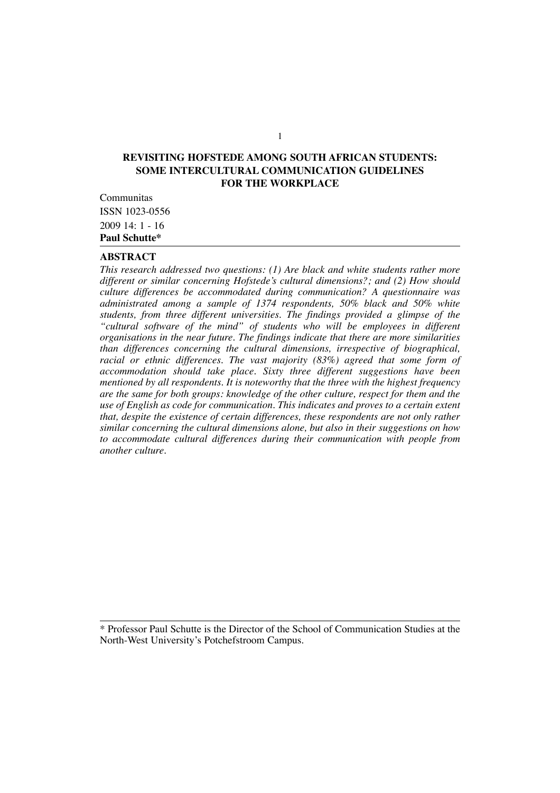# **REVISITING HOFSTEDE AMONG SOUTH AFRICAN STUDENTS: SOME INTERCULTURAL COMMUNICATION GUIDELINES FOR THE WORKPLACE**

Communitas ISSN 1023-0556  $2009$  14: 1 - 16 **Paul Schutte\***

## **ABSTRACT**

*This research addressed two questions: (1) Are black and white students rather more different or similar concerning Hofstede's cultural dimensions?; and (2) How should culture differences be accommodated during communication? A questionnaire was administrated among a sample of 1374 respondents, 50% black and 50% white students, from three different universities. The findings provided a glimpse of the "cultural software of the mind" of students who will be employees in different organisations in the near future. The findings indicate that there are more similarities than differences concerning the cultural dimensions, irrespective of biographical, racial or ethnic differences. The vast majority (83%) agreed that some form of accommodation should take place. Sixty three different suggestions have been mentioned by all respondents. It is noteworthy that the three with the highest frequency are the same for both groups: knowledge of the other culture, respect for them and the use of English as code for communication. This indicates and proves to a certain extent that, despite the existence of certain differences, these respondents are not only rather similar concerning the cultural dimensions alone, but also in their suggestions on how to accommodate cultural differences during their communication with people from another culture.* 

\* Professor Paul Schutte is the Director of the School of Communication Studies at the North-West University's Potchefstroom Campus.

1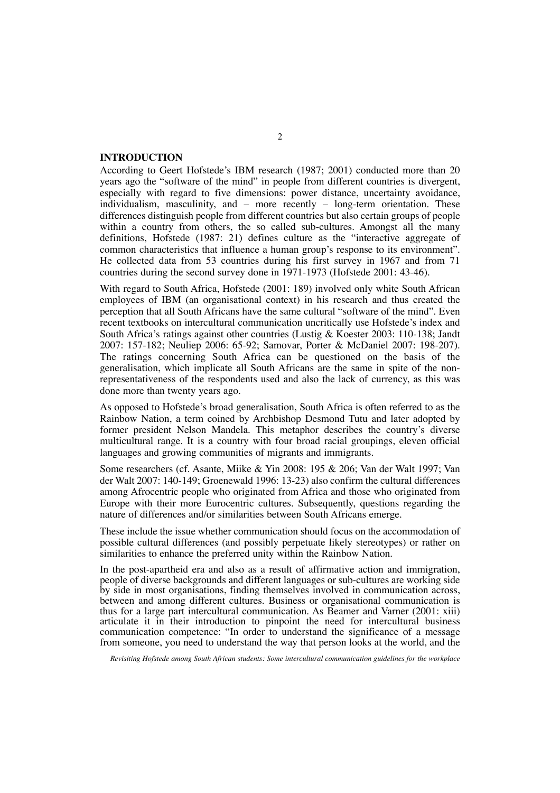## **INTRODUCTION**

According to Geert Hofstede's IBM research (1987; 2001) conducted more than 20 years ago the "software of the mind" in people from different countries is divergent, especially with regard to five dimensions: power distance, uncertainty avoidance, individualism, masculinity, and – more recently – long-term orientation. These differences distinguish people from different countries but also certain groups of people within a country from others, the so called sub-cultures. Amongst all the many definitions, Hofstede (1987: 21) defines culture as the "interactive aggregate of common characteristics that influence a human group's response to its environment". He collected data from 53 countries during his first survey in 1967 and from 71 countries during the second survey done in 1971-1973 (Hofstede 2001: 43-46).

With regard to South Africa, Hofstede (2001: 189) involved only white South African employees of IBM (an organisational context) in his research and thus created the perception that all South Africans have the same cultural "software of the mind". Even recent textbooks on intercultural communication uncritically use Hofstede's index and South Africa's ratings against other countries (Lustig & Koester 2003: 110-138; Jandt 2007: 157-182; Neuliep 2006: 65-92; Samovar, Porter & McDaniel 2007: 198-207). The ratings concerning South Africa can be questioned on the basis of the generalisation, which implicate all South Africans are the same in spite of the nonrepresentativeness of the respondents used and also the lack of currency, as this was done more than twenty years ago.

As opposed to Hofstede's broad generalisation, South Africa is often referred to as the Rainbow Nation, a term coined by Archbishop Desmond Tutu and later adopted by former president Nelson Mandela. This metaphor describes the country's diverse multicultural range. It is a country with four broad racial groupings, eleven official languages and growing communities of migrants and immigrants.

Some researchers (cf. Asante, Miike & Yin 2008: 195 & 206; Van der Walt 1997; Van der Walt 2007: 140-149; Groenewald 1996: 13-23) also confirm the cultural differences among Afrocentric people who originated from Africa and those who originated from Europe with their more Eurocentric cultures. Subsequently, questions regarding the nature of differences and/or similarities between South Africans emerge.

These include the issue whether communication should focus on the accommodation of possible cultural differences (and possibly perpetuate likely stereotypes) or rather on similarities to enhance the preferred unity within the Rainbow Nation.

In the post-apartheid era and also as a result of affirmative action and immigration, people of diverse backgrounds and different languages or sub-cultures are working side by side in most organisations, finding themselves involved in communication across, between and among different cultures. Business or organisational communication is thus for a large part intercultural communication. As Beamer and Varner (2001: xiii) articulate it in their introduction to pinpoint the need for intercultural business communication competence: "In order to understand the significance of a message from someone, you need to understand the way that person looks at the world, and the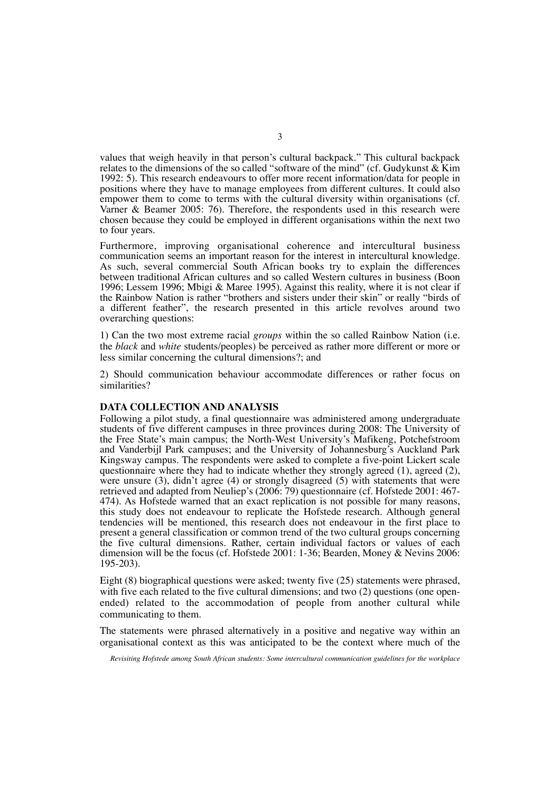values that weigh heavily in that person's cultural backpack." This cultural backpack relates to the dimensions of the so called "software of the mind" (cf. Gudykunst & Kim 1992: 5). This research endeavours to offer more recent information/data for people in positions where they have to manage employees from different cultures. It could also empower them to come to terms with the cultural diversity within organisations (cf. Varner & Beamer 2005: 76). Therefore, the respondents used in this research were chosen because they could be employed in different organisations within the next two to four years.

Furthermore, improving organisational coherence and intercultural business communication seems an important reason for the interest in intercultural knowledge. As such, several commercial South African books try to explain the differences between traditional African cultures and so called Western cultures in business (Boon 1996; Lessem 1996; Mbigi & Maree 1995). Against this reality, where it is not clear if the Rainbow Nation is rather "brothers and sisters under their skin" or really "birds of a different feather", the research presented in this article revolves around two overarching questions:

1) Can the two most extreme racial *groups* within the so called Rainbow Nation (i.e. the *black* and *white* students/peoples) be perceived as rather more different or more or less similar concerning the cultural dimensions?; and

2) Should communication behaviour accommodate differences or rather focus on similarities?

## **DATA COLLECTION AND ANALYSIS**

Following a pilot study, a final questionnaire was administered among undergraduate students of five different campuses in three provinces during 2008: The University of the Free State's main campus; the North-West University's Mafikeng, Potchefstroom and Vanderbijl Park campuses; and the University of Johannesburg's Auckland Park Kingsway campus. The respondents were asked to complete a five-point Lickert scale questionnaire where they had to indicate whether they strongly agreed (1), agreed (2), were unsure (3), didn't agree (4) or strongly disagreed (5) with statements that were retrieved and adapted from Neuliep's (2006: 79) questionnaire (cf. Hofstede 2001: 467- 474). As Hofstede warned that an exact replication is not possible for many reasons, this study does not endeavour to replicate the Hofstede research. Although general tendencies will be mentioned, this research does not endeavour in the first place to present a general classification or common trend of the two cultural groups concerning the five cultural dimensions. Rather, certain individual factors or values of each dimension will be the focus (cf. Hofstede 2001: 1-36; Bearden, Money & Nevins 2006: 195-203).

Eight (8) biographical questions were asked; twenty five (25) statements were phrased, with five each related to the five cultural dimensions; and two  $(2)$  questions (one openended) related to the accommodation of people from another cultural while communicating to them.

The statements were phrased alternatively in a positive and negative way within an organisational context as this was anticipated to be the context where much of the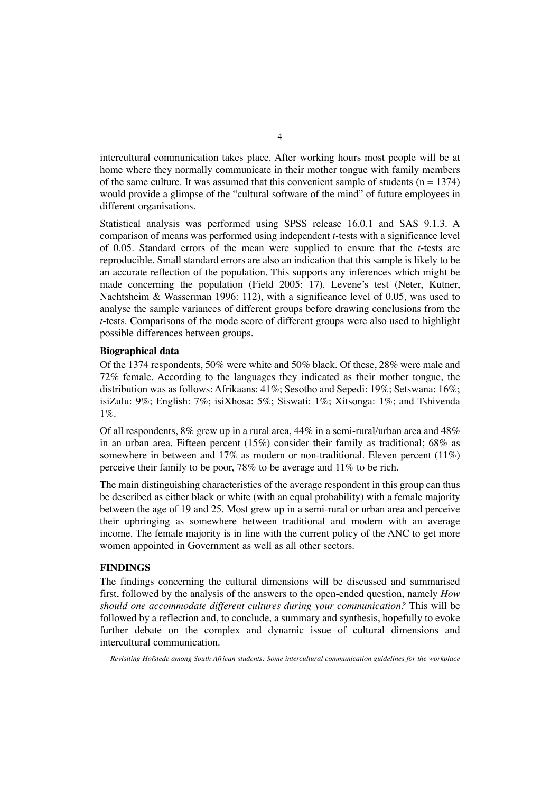intercultural communication takes place. After working hours most people will be at home where they normally communicate in their mother tongue with family members of the same culture. It was assumed that this convenient sample of students  $(n = 1374)$ would provide a glimpse of the "cultural software of the mind" of future employees in different organisations.

Statistical analysis was performed using SPSS release 16.0.1 and SAS 9.1.3. A comparison of means was performed using independent *t-*tests with a significance level of 0.05. Standard errors of the mean were supplied to ensure that the *t*-tests are reproducible. Small standard errors are also an indication that this sample is likely to be an accurate reflection of the population. This supports any inferences which might be made concerning the population (Field 2005: 17). Levene's test (Neter, Kutner, Nachtsheim & Wasserman 1996: 112), with a significance level of 0.05, was used to analyse the sample variances of different groups before drawing conclusions from the *t*-tests. Comparisons of the mode score of different groups were also used to highlight possible differences between groups.

# **Biographical data**

Of the 1374 respondents, 50% were white and 50% black. Of these, 28% were male and 72% female. According to the languages they indicated as their mother tongue, the distribution was as follows: Afrikaans: 41%; Sesotho and Sepedi: 19%; Setswana: 16%; isiZulu: 9%; English: 7%; isiXhosa: 5%; Siswati: 1%; Xitsonga: 1%; and Tshivenda 1%.

Of all respondents,  $8\%$  grew up in a rural area,  $44\%$  in a semi-rural/urban area and  $48\%$ in an urban area. Fifteen percent (15%) consider their family as traditional; 68% as somewhere in between and 17% as modern or non-traditional. Eleven percent (11%) perceive their family to be poor, 78% to be average and 11% to be rich.

The main distinguishing characteristics of the average respondent in this group can thus be described as either black or white (with an equal probability) with a female majority between the age of 19 and 25. Most grew up in a semi-rural or urban area and perceive their upbringing as somewhere between traditional and modern with an average income. The female majority is in line with the current policy of the ANC to get more women appointed in Government as well as all other sectors.

## **FINDINGS**

The findings concerning the cultural dimensions will be discussed and summarised first, followed by the analysis of the answers to the open-ended question, namely *How should one accommodate different cultures during your communication?* This will be followed by a reflection and, to conclude, a summary and synthesis, hopefully to evoke further debate on the complex and dynamic issue of cultural dimensions and intercultural communication.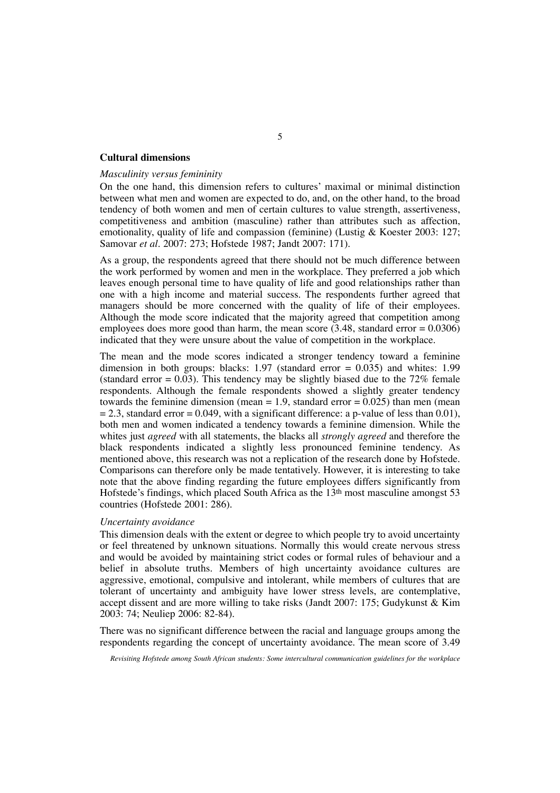### **Cultural dimensions**

## *Masculinity versus femininity*

On the one hand, this dimension refers to cultures' maximal or minimal distinction between what men and women are expected to do, and, on the other hand, to the broad tendency of both women and men of certain cultures to value strength, assertiveness, competitiveness and ambition (masculine) rather than attributes such as affection, emotionality, quality of life and compassion (feminine) (Lustig & Koester 2003: 127; Samovar *et al*. 2007: 273; Hofstede 1987; Jandt 2007: 171).

As a group, the respondents agreed that there should not be much difference between the work performed by women and men in the workplace. They preferred a job which leaves enough personal time to have quality of life and good relationships rather than one with a high income and material success. The respondents further agreed that managers should be more concerned with the quality of life of their employees. Although the mode score indicated that the majority agreed that competition among employees does more good than harm, the mean score  $(3.48, \text{standard error} = 0.0306)$ indicated that they were unsure about the value of competition in the workplace.

The mean and the mode scores indicated a stronger tendency toward a feminine dimension in both groups: blacks: 1.97 (standard error =  $0.035$ ) and whites: 1.99 (standard error  $= 0.03$ ). This tendency may be slightly biased due to the 72% female respondents. Although the female respondents showed a slightly greater tendency towards the feminine dimension (mean  $= 1.9$ , standard error  $= 0.025$ ) than men (mean  $= 2.3$ , standard error  $= 0.049$ , with a significant difference: a p-value of less than 0.01), both men and women indicated a tendency towards a feminine dimension. While the whites just *agreed* with all statements, the blacks all *strongly agreed* and therefore the black respondents indicated a slightly less pronounced feminine tendency. As mentioned above, this research was not a replication of the research done by Hofstede. Comparisons can therefore only be made tentatively. However, it is interesting to take note that the above finding regarding the future employees differs significantly from Hofstede's findings, which placed South Africa as the 13th most masculine amongst 53 countries (Hofstede 2001: 286).

## *Uncertainty avoidance*

This dimension deals with the extent or degree to which people try to avoid uncertainty or feel threatened by unknown situations. Normally this would create nervous stress and would be avoided by maintaining strict codes or formal rules of behaviour and a belief in absolute truths. Members of high uncertainty avoidance cultures are aggressive, emotional, compulsive and intolerant, while members of cultures that are tolerant of uncertainty and ambiguity have lower stress levels, are contemplative, accept dissent and are more willing to take risks (Jandt 2007: 175; Gudykunst & Kim 2003: 74; Neuliep 2006: 82-84).

There was no significant difference between the racial and language groups among the respondents regarding the concept of uncertainty avoidance. The mean score of 3.49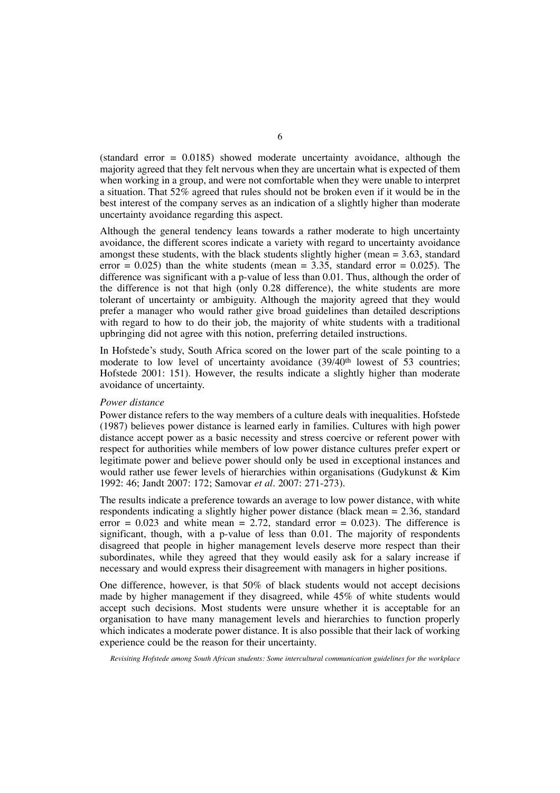(standard error = 0.0185) showed moderate uncertainty avoidance, although the majority agreed that they felt nervous when they are uncertain what is expected of them when working in a group, and were not comfortable when they were unable to interpret a situation. That 52% agreed that rules should not be broken even if it would be in the best interest of the company serves as an indication of a slightly higher than moderate uncertainty avoidance regarding this aspect.

Although the general tendency leans towards a rather moderate to high uncertainty avoidance, the different scores indicate a variety with regard to uncertainty avoidance amongst these students, with the black students slightly higher (mean  $= 3.63$ , standard error  $= 0.025$ ) than the white students (mean  $= 3.35$ , standard error  $= 0.025$ ). The difference was significant with a p-value of less than 0.01. Thus, although the order of the difference is not that high (only 0.28 difference), the white students are more tolerant of uncertainty or ambiguity. Although the majority agreed that they would prefer a manager who would rather give broad guidelines than detailed descriptions with regard to how to do their job, the majority of white students with a traditional upbringing did not agree with this notion, preferring detailed instructions.

In Hofstede's study, South Africa scored on the lower part of the scale pointing to a moderate to low level of uncertainty avoidance  $(39/40<sup>th</sup>$  lowest of 53 countries; Hofstede 2001: 151). However, the results indicate a slightly higher than moderate avoidance of uncertainty.

## *Power distance*

Power distance refers to the way members of a culture deals with inequalities. Hofstede (1987) believes power distance is learned early in families. Cultures with high power distance accept power as a basic necessity and stress coercive or referent power with respect for authorities while members of low power distance cultures prefer expert or legitimate power and believe power should only be used in exceptional instances and would rather use fewer levels of hierarchies within organisations (Gudykunst & Kim 1992: 46; Jandt 2007: 172; Samovar *et al*. 2007: 271-273).

The results indicate a preference towards an average to low power distance, with white respondents indicating a slightly higher power distance (black mean = 2.36, standard error = 0.023 and white mean =  $2.72$ , standard error = 0.023). The difference is significant, though, with a p-value of less than 0.01. The majority of respondents disagreed that people in higher management levels deserve more respect than their subordinates, while they agreed that they would easily ask for a salary increase if necessary and would express their disagreement with managers in higher positions.

One difference, however, is that 50% of black students would not accept decisions made by higher management if they disagreed, while 45% of white students would accept such decisions. Most students were unsure whether it is acceptable for an organisation to have many management levels and hierarchies to function properly which indicates a moderate power distance. It is also possible that their lack of working experience could be the reason for their uncertainty.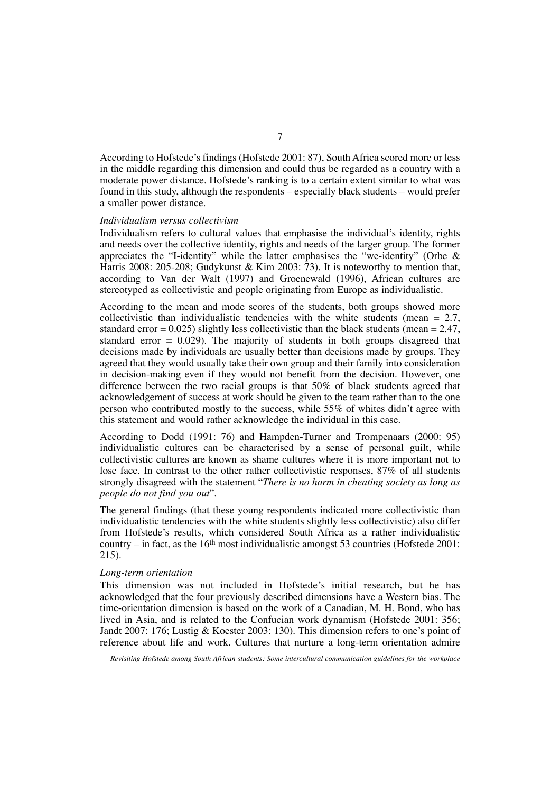According to Hofstede's findings (Hofstede 2001: 87), South Africa scored more or less in the middle regarding this dimension and could thus be regarded as a country with a moderate power distance. Hofstede's ranking is to a certain extent similar to what was found in this study, although the respondents – especially black students – would prefer a smaller power distance.

## *Individualism versus collectivism*

Individualism refers to cultural values that emphasise the individual's identity, rights and needs over the collective identity, rights and needs of the larger group. The former appreciates the "I-identity" while the latter emphasises the "we-identity" (Orbe & Harris 2008: 205-208; Gudykunst & Kim 2003: 73). It is noteworthy to mention that, according to Van der Walt (1997) and Groenewald (1996), African cultures are stereotyped as collectivistic and people originating from Europe as individualistic.

According to the mean and mode scores of the students, both groups showed more collectivistic than individualistic tendencies with the white students (mean  $= 2.7$ , standard error =  $0.025$ ) slightly less collectivistic than the black students (mean =  $2.47$ , standard error  $= 0.029$ . The majority of students in both groups disagreed that decisions made by individuals are usually better than decisions made by groups. They agreed that they would usually take their own group and their family into consideration in decision-making even if they would not benefit from the decision. However, one difference between the two racial groups is that 50% of black students agreed that acknowledgement of success at work should be given to the team rather than to the one person who contributed mostly to the success, while 55% of whites didn't agree with this statement and would rather acknowledge the individual in this case.

According to Dodd (1991: 76) and Hampden-Turner and Trompenaars (2000: 95) individualistic cultures can be characterised by a sense of personal guilt, while collectivistic cultures are known as shame cultures where it is more important not to lose face. In contrast to the other rather collectivistic responses, 87% of all students strongly disagreed with the statement "*There is no harm in cheating society as long as people do not find you out*".

The general findings (that these young respondents indicated more collectivistic than individualistic tendencies with the white students slightly less collectivistic) also differ from Hofstede's results, which considered South Africa as a rather individualistic country – in fact, as the  $16<sup>th</sup>$  most individualistic amongst 53 countries (Hofstede 2001: 215).

## *Long-term orientation*

This dimension was not included in Hofstede's initial research, but he has acknowledged that the four previously described dimensions have a Western bias. The time-orientation dimension is based on the work of a Canadian, M. H. Bond, who has lived in Asia, and is related to the Confucian work dynamism (Hofstede 2001: 356; Jandt 2007: 176; Lustig & Koester 2003: 130). This dimension refers to one's point of reference about life and work. Cultures that nurture a long-term orientation admire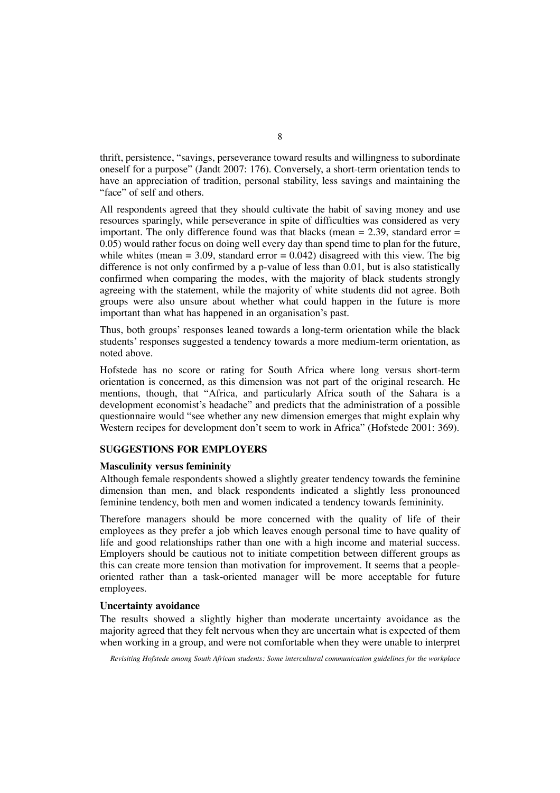thrift, persistence, "savings, perseverance toward results and willingness to subordinate oneself for a purpose" (Jandt 2007: 176). Conversely, a short-term orientation tends to have an appreciation of tradition, personal stability, less savings and maintaining the "face" of self and others.

All respondents agreed that they should cultivate the habit of saving money and use resources sparingly, while perseverance in spite of difficulties was considered as very important. The only difference found was that blacks (mean  $= 2.39$ , standard error  $=$ 0.05) would rather focus on doing well every day than spend time to plan for the future, while whites (mean = 3.09, standard error =  $0.042$ ) disagreed with this view. The big difference is not only confirmed by a p-value of less than 0.01, but is also statistically confirmed when comparing the modes, with the majority of black students strongly agreeing with the statement, while the majority of white students did not agree. Both groups were also unsure about whether what could happen in the future is more important than what has happened in an organisation's past.

Thus, both groups' responses leaned towards a long-term orientation while the black students' responses suggested a tendency towards a more medium-term orientation, as noted above.

Hofstede has no score or rating for South Africa where long versus short-term orientation is concerned, as this dimension was not part of the original research. He mentions, though, that "Africa, and particularly Africa south of the Sahara is a development economist's headache" and predicts that the administration of a possible questionnaire would "see whether any new dimension emerges that might explain why Western recipes for development don't seem to work in Africa" (Hofstede 2001: 369).

# **SUGGESTIONS FOR EMPLOYERS**

## **Masculinity versus femininity**

Although female respondents showed a slightly greater tendency towards the feminine dimension than men, and black respondents indicated a slightly less pronounced feminine tendency, both men and women indicated a tendency towards femininity.

Therefore managers should be more concerned with the quality of life of their employees as they prefer a job which leaves enough personal time to have quality of life and good relationships rather than one with a high income and material success. Employers should be cautious not to initiate competition between different groups as this can create more tension than motivation for improvement. It seems that a peopleoriented rather than a task-oriented manager will be more acceptable for future employees.

# **Uncertainty avoidance**

The results showed a slightly higher than moderate uncertainty avoidance as the majority agreed that they felt nervous when they are uncertain what is expected of them when working in a group, and were not comfortable when they were unable to interpret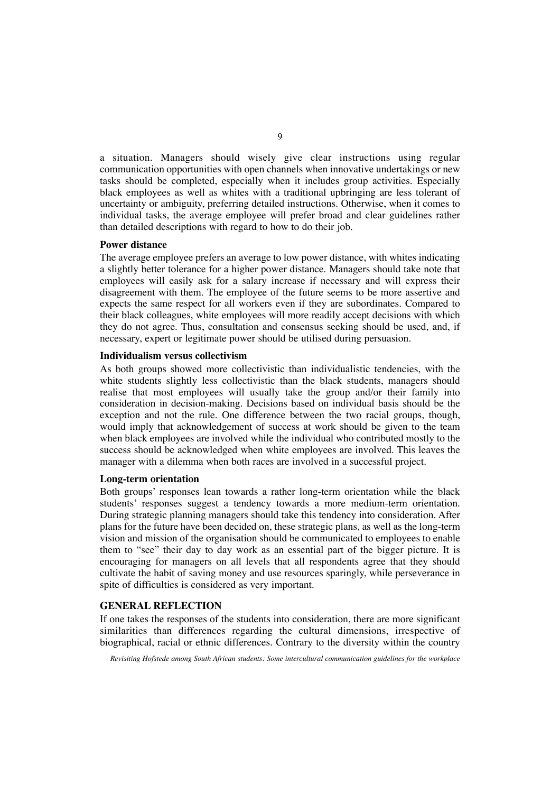a situation. Managers should wisely give clear instructions using regular communication opportunities with open channels when innovative undertakings or new tasks should be completed, especially when it includes group activities. Especially black employees as well as whites with a traditional upbringing are less tolerant of uncertainty or ambiguity, preferring detailed instructions. Otherwise, when it comes to individual tasks, the average employee will prefer broad and clear guidelines rather than detailed descriptions with regard to how to do their job.

## **Power distance**

The average employee prefers an average to low power distance, with whites indicating a slightly better tolerance for a higher power distance. Managers should take note that employees will easily ask for a salary increase if necessary and will express their disagreement with them. The employee of the future seems to be more assertive and expects the same respect for all workers even if they are subordinates. Compared to their black colleagues, white employees will more readily accept decisions with which they do not agree. Thus, consultation and consensus seeking should be used, and, if necessary, expert or legitimate power should be utilised during persuasion.

## **Individualism versus collectivism**

As both groups showed more collectivistic than individualistic tendencies, with the white students slightly less collectivistic than the black students, managers should realise that most employees will usually take the group and/or their family into consideration in decision-making. Decisions based on individual basis should be the exception and not the rule. One difference between the two racial groups, though, would imply that acknowledgement of success at work should be given to the team when black employees are involved while the individual who contributed mostly to the success should be acknowledged when white employees are involved. This leaves the manager with a dilemma when both races are involved in a successful project.

# **Long-term orientation**

Both groups' responses lean towards a rather long-term orientation while the black students' responses suggest a tendency towards a more medium-term orientation. During strategic planning managers should take this tendency into consideration. After plans for the future have been decided on, these strategic plans, as well as the long-term vision and mission of the organisation should be communicated to employees to enable them to "see" their day to day work as an essential part of the bigger picture. It is encouraging for managers on all levels that all respondents agree that they should cultivate the habit of saving money and use resources sparingly, while perseverance in spite of difficulties is considered as very important.

# **GENERAL REFLECTION**

If one takes the responses of the students into consideration, there are more significant similarities than differences regarding the cultural dimensions, irrespective of biographical, racial or ethnic differences. Contrary to the diversity within the country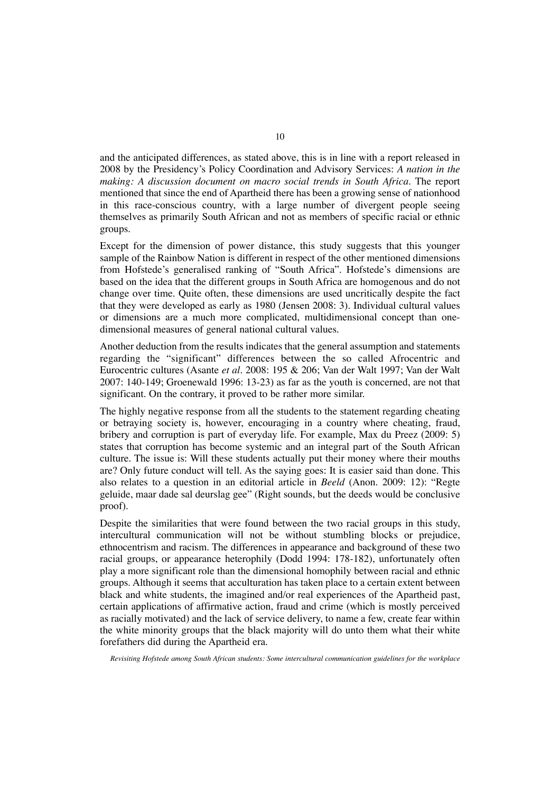and the anticipated differences, as stated above, this is in line with a report released in 2008 by the Presidency's Policy Coordination and Advisory Services: *A nation in the making: A discussion document on macro social trends in South Africa.* The report mentioned that since the end of Apartheid there has been a growing sense of nationhood in this race-conscious country, with a large number of divergent people seeing themselves as primarily South African and not as members of specific racial or ethnic groups.

Except for the dimension of power distance, this study suggests that this younger sample of the Rainbow Nation is different in respect of the other mentioned dimensions from Hofstede's generalised ranking of "South Africa". Hofstede's dimensions are based on the idea that the different groups in South Africa are homogenous and do not change over time. Quite often, these dimensions are used uncritically despite the fact that they were developed as early as 1980 (Jensen 2008: 3). Individual cultural values or dimensions are a much more complicated, multidimensional concept than onedimensional measures of general national cultural values.

Another deduction from the results indicates that the general assumption and statements regarding the "significant" differences between the so called Afrocentric and Eurocentric cultures (Asante *et al*. 2008: 195 & 206; Van der Walt 1997; Van der Walt 2007: 140-149; Groenewald 1996: 13-23) as far as the youth is concerned, are not that significant. On the contrary, it proved to be rather more similar.

The highly negative response from all the students to the statement regarding cheating or betraying society is, however, encouraging in a country where cheating, fraud, bribery and corruption is part of everyday life. For example, Max du Preez (2009: 5) states that corruption has become systemic and an integral part of the South African culture. The issue is: Will these students actually put their money where their mouths are? Only future conduct will tell. As the saying goes: It is easier said than done. This also relates to a question in an editorial article in *Beeld* (Anon. 2009: 12): "Regte geluide, maar dade sal deurslag gee" (Right sounds, but the deeds would be conclusive proof).

Despite the similarities that were found between the two racial groups in this study, intercultural communication will not be without stumbling blocks or prejudice, ethnocentrism and racism. The differences in appearance and background of these two racial groups, or appearance heterophily (Dodd 1994: 178-182), unfortunately often play a more significant role than the dimensional homophily between racial and ethnic groups. Although it seems that acculturation has taken place to a certain extent between black and white students, the imagined and/or real experiences of the Apartheid past, certain applications of affirmative action, fraud and crime (which is mostly perceived as racially motivated) and the lack of service delivery, to name a few, create fear within the white minority groups that the black majority will do unto them what their white forefathers did during the Apartheid era.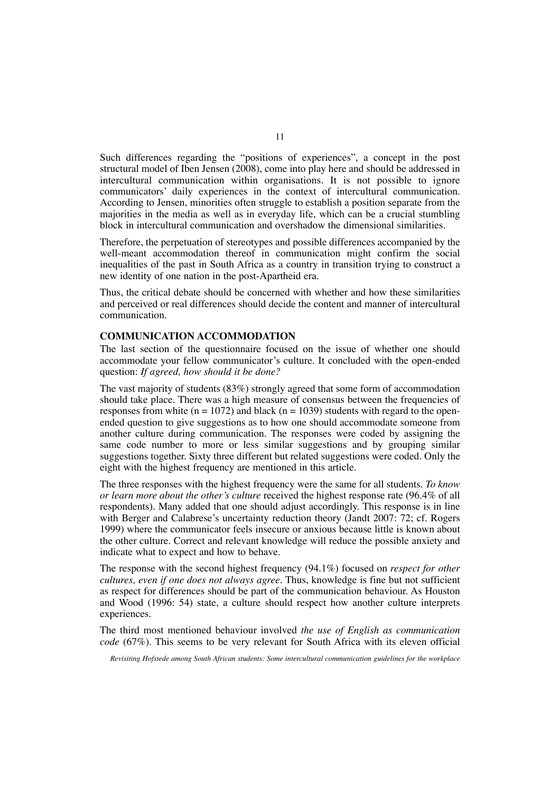Such differences regarding the "positions of experiences", a concept in the post structural model of Iben Jensen (2008), come into play here and should be addressed in intercultural communication within organisations. It is not possible to ignore communicators' daily experiences in the context of intercultural communication. According to Jensen, minorities often struggle to establish a position separate from the majorities in the media as well as in everyday life, which can be a crucial stumbling block in intercultural communication and overshadow the dimensional similarities.

Therefore, the perpetuation of stereotypes and possible differences accompanied by the well-meant accommodation thereof in communication might confirm the social inequalities of the past in South Africa as a country in transition trying to construct a new identity of one nation in the post-Apartheid era.

Thus, the critical debate should be concerned with whether and how these similarities and perceived or real differences should decide the content and manner of intercultural communication.

# **COMMUNICATION ACCOMMODATION**

The last section of the questionnaire focused on the issue of whether one should accommodate your fellow communicator's culture. It concluded with the open-ended question: *If agreed, how should it be done?*

The vast majority of students (83%) strongly agreed that some form of accommodation should take place. There was a high measure of consensus between the frequencies of responses from white  $(n = 1072)$  and black  $(n = 1039)$  students with regard to the openended question to give suggestions as to how one should accommodate someone from another culture during communication. The responses were coded by assigning the same code number to more or less similar suggestions and by grouping similar suggestions together. Sixty three different but related suggestions were coded. Only the eight with the highest frequency are mentioned in this article.

The three responses with the highest frequency were the same for all students. *To know or learn more about the other's culture* received the highest response rate (96.4% of all respondents). Many added that one should adjust accordingly. This response is in line with Berger and Calabrese's uncertainty reduction theory (Jandt 2007: 72; cf. Rogers 1999) where the communicator feels insecure or anxious because little is known about the other culture. Correct and relevant knowledge will reduce the possible anxiety and indicate what to expect and how to behave.

The response with the second highest frequency (94.1%) focused on *respect for other cultures, even if one does not always agree*. Thus, knowledge is fine but not sufficient as respect for differences should be part of the communication behaviour. As Houston and Wood (1996: 54) state, a culture should respect how another culture interprets experiences.

The third most mentioned behaviour involved *the use of English as communication code* (67%). This seems to be very relevant for South Africa with its eleven official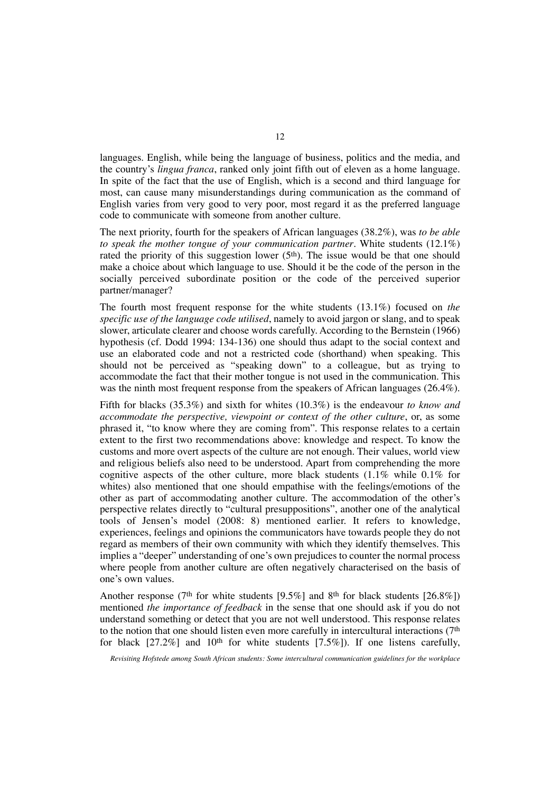languages. English, while being the language of business, politics and the media, and the country's *lingua franca*, ranked only joint fifth out of eleven as a home language. In spite of the fact that the use of English, which is a second and third language for most, can cause many misunderstandings during communication as the command of English varies from very good to very poor, most regard it as the preferred language code to communicate with someone from another culture.

The next priority, fourth for the speakers of African languages (38.2%), was *to be able to speak the mother tongue of your communication partner*. White students (12.1%) rated the priority of this suggestion lower (5<sup>th</sup>). The issue would be that one should make a choice about which language to use. Should it be the code of the person in the socially perceived subordinate position or the code of the perceived superior partner/manager?

The fourth most frequent response for the white students (13.1%) focused on *the specific use of the language code utilised*, namely to avoid jargon or slang, and to speak slower, articulate clearer and choose words carefully. According to the Bernstein (1966) hypothesis (cf. Dodd 1994: 134-136) one should thus adapt to the social context and use an elaborated code and not a restricted code (shorthand) when speaking. This should not be perceived as "speaking down" to a colleague, but as trying to accommodate the fact that their mother tongue is not used in the communication. This was the ninth most frequent response from the speakers of African languages (26.4%).

Fifth for blacks (35.3%) and sixth for whites (10.3%) is the endeavour *to know and accommodate the perspective, viewpoint or context of the other culture*, or, as some phrased it, "to know where they are coming from". This response relates to a certain extent to the first two recommendations above: knowledge and respect. To know the customs and more overt aspects of the culture are not enough. Their values, world view and religious beliefs also need to be understood. Apart from comprehending the more cognitive aspects of the other culture, more black students  $(1.1\%$  while  $0.1\%$  for whites) also mentioned that one should empathise with the feelings/emotions of the other as part of accommodating another culture. The accommodation of the other's perspective relates directly to "cultural presuppositions", another one of the analytical tools of Jensen's model (2008: 8) mentioned earlier. It refers to knowledge, experiences, feelings and opinions the communicators have towards people they do not regard as members of their own community with which they identify themselves. This implies a "deeper" understanding of one's own prejudices to counter the normal process where people from another culture are often negatively characterised on the basis of one's own values.

Another response (7<sup>th</sup> for white students [9.5%] and 8<sup>th</sup> for black students [26.8%]) mentioned *the importance of feedback* in the sense that one should ask if you do not understand something or detect that you are not well understood. This response relates to the notion that one should listen even more carefully in intercultural interactions (7th for black  $[27.2\%]$  and  $10<sup>th</sup>$  for white students  $[7.5\%]$ ). If one listens carefully,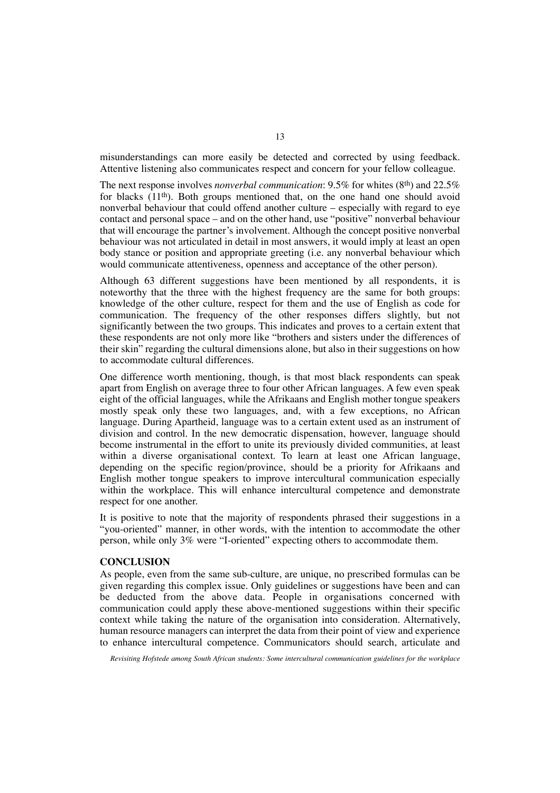misunderstandings can more easily be detected and corrected by using feedback. Attentive listening also communicates respect and concern for your fellow colleague.

The next response involves *nonverbal communication*: 9.5% for whites (8th) and 22.5% for blacks (11th). Both groups mentioned that, on the one hand one should avoid nonverbal behaviour that could offend another culture – especially with regard to eye contact and personal space – and on the other hand, use "positive" nonverbal behaviour that will encourage the partner's involvement. Although the concept positive nonverbal behaviour was not articulated in detail in most answers, it would imply at least an open body stance or position and appropriate greeting (i.e. any nonverbal behaviour which would communicate attentiveness, openness and acceptance of the other person).

Although 63 different suggestions have been mentioned by all respondents, it is noteworthy that the three with the highest frequency are the same for both groups: knowledge of the other culture, respect for them and the use of English as code for communication. The frequency of the other responses differs slightly, but not significantly between the two groups. This indicates and proves to a certain extent that these respondents are not only more like "brothers and sisters under the differences of their skin" regarding the cultural dimensions alone, but also in their suggestions on how to accommodate cultural differences.

One difference worth mentioning, though, is that most black respondents can speak apart from English on average three to four other African languages. A few even speak eight of the official languages, while the Afrikaans and English mother tongue speakers mostly speak only these two languages, and, with a few exceptions, no African language. During Apartheid, language was to a certain extent used as an instrument of division and control. In the new democratic dispensation, however, language should become instrumental in the effort to unite its previously divided communities, at least within a diverse organisational context. To learn at least one African language, depending on the specific region/province, should be a priority for Afrikaans and English mother tongue speakers to improve intercultural communication especially within the workplace. This will enhance intercultural competence and demonstrate respect for one another.

It is positive to note that the majority of respondents phrased their suggestions in a "you-oriented" manner, in other words, with the intention to accommodate the other person, while only 3% were "I-oriented" expecting others to accommodate them.

# **CONCLUSION**

As people, even from the same sub-culture, are unique, no prescribed formulas can be given regarding this complex issue. Only guidelines or suggestions have been and can be deducted from the above data. People in organisations concerned with communication could apply these above-mentioned suggestions within their specific context while taking the nature of the organisation into consideration. Alternatively, human resource managers can interpret the data from their point of view and experience to enhance intercultural competence. Communicators should search, articulate and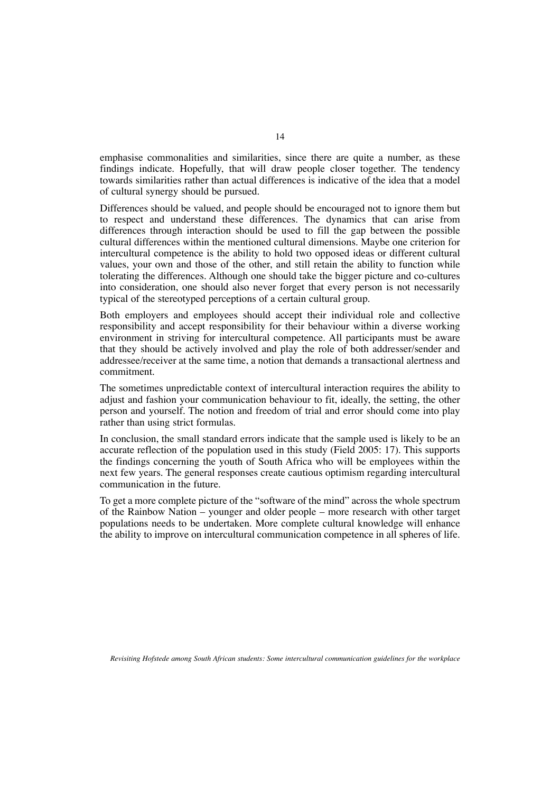emphasise commonalities and similarities, since there are quite a number, as these findings indicate. Hopefully, that will draw people closer together. The tendency towards similarities rather than actual differences is indicative of the idea that a model of cultural synergy should be pursued.

Differences should be valued, and people should be encouraged not to ignore them but to respect and understand these differences. The dynamics that can arise from differences through interaction should be used to fill the gap between the possible cultural differences within the mentioned cultural dimensions. Maybe one criterion for intercultural competence is the ability to hold two opposed ideas or different cultural values, your own and those of the other, and still retain the ability to function while tolerating the differences. Although one should take the bigger picture and co-cultures into consideration, one should also never forget that every person is not necessarily typical of the stereotyped perceptions of a certain cultural group.

Both employers and employees should accept their individual role and collective responsibility and accept responsibility for their behaviour within a diverse working environment in striving for intercultural competence. All participants must be aware that they should be actively involved and play the role of both addresser/sender and addressee/receiver at the same time, a notion that demands a transactional alertness and commitment.

The sometimes unpredictable context of intercultural interaction requires the ability to adjust and fashion your communication behaviour to fit, ideally, the setting, the other person and yourself. The notion and freedom of trial and error should come into play rather than using strict formulas.

In conclusion, the small standard errors indicate that the sample used is likely to be an accurate reflection of the population used in this study (Field 2005: 17). This supports the findings concerning the youth of South Africa who will be employees within the next few years. The general responses create cautious optimism regarding intercultural communication in the future.

To get a more complete picture of the "software of the mind" across the whole spectrum of the Rainbow Nation – younger and older people – more research with other target populations needs to be undertaken. More complete cultural knowledge will enhance the ability to improve on intercultural communication competence in all spheres of life.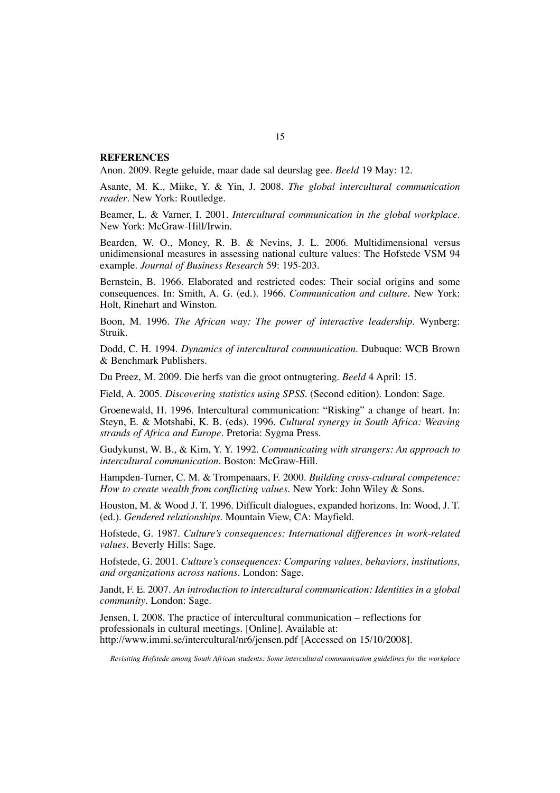## **REFERENCES**

Anon. 2009. Regte geluide, maar dade sal deurslag gee. *Beeld* 19 May: 12.

Asante, M. K., Miike, Y. & Yin, J. 2008. *The global intercultural communication reader*. New York: Routledge.

Beamer, L. & Varner, I. 2001. *Intercultural communication in the global workplace*. New York: McGraw-Hill/Irwin.

Bearden, W. O., Money, R. B. & Nevins, J. L. 2006. Multidimensional versus unidimensional measures in assessing national culture values: The Hofstede VSM 94 example. *Journal of Business Research* 59: 195-203.

Bernstein, B. 1966. Elaborated and restricted codes: Their social origins and some consequences. In: Smith, A. G. (ed.). 1966. *Communication and culture*. New York: Holt, Rinehart and Winston.

Boon, M. 1996. *The African way: The power of interactive leadership*. Wynberg: Struik.

Dodd, C. H. 1994. *Dynamics of intercultural communication*. Dubuque: WCB Brown & Benchmark Publishers.

Du Preez, M. 2009. Die herfs van die groot ontnugtering. *Beeld* 4 April: 15.

Field, A. 2005. *Discovering statistics using SPSS*. (Second edition). London: Sage.

Groenewald, H. 1996. Intercultural communication: "Risking" a change of heart. In: Steyn, E. & Motshabi, K. B. (eds). 1996. *Cultural synergy in South Africa: Weaving strands of Africa and Europe*. Pretoria: Sygma Press.

Gudykunst, W. B., & Kim, Y. Y. 1992. *Communicating with strangers: An approach to intercultural communication*. Boston: McGraw-Hill.

Hampden-Turner, C. M. & Trompenaars, F. 2000. *Building cross-cultural competence: How to create wealth from conflicting values*. New York: John Wiley & Sons.

Houston, M. & Wood J. T. 1996. Difficult dialogues, expanded horizons. In: Wood, J. T. (ed.). *Gendered relationships.* Mountain View, CA: Mayfield.

Hofstede, G. 1987. *Culture's consequences: International differences in work-related values*. Beverly Hills: Sage.

Hofstede, G. 2001. *Culture's consequences: Comparing values, behaviors, institutions, and organizations across nations*. London: Sage.

Jandt, F. E. 2007. *An introduction to intercultural communication: Identities in a global community*. London: Sage.

Jensen, I. 2008. The practice of intercultural communication – reflections for professionals in cultural meetings. [Online]. Available at: http://www.immi.se/intercultural/nr6/jensen.pdf [Accessed on 15/10/2008].